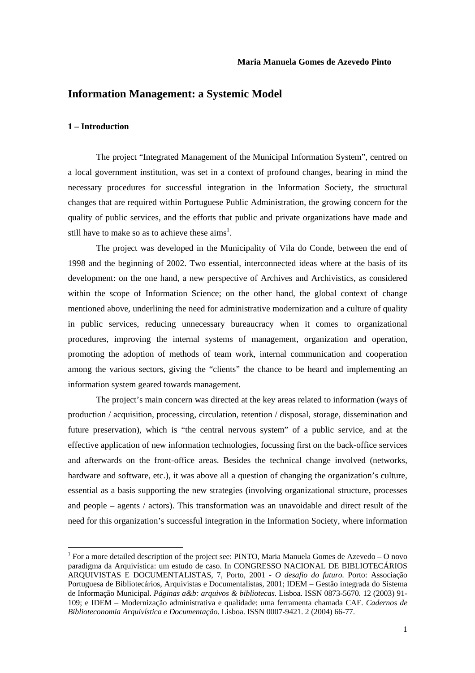# **Information Management: a Systemic Model**

### **1 – Introduction**

 $\overline{a}$ 

The project "Integrated Management of the Municipal Information System", centred on a local government institution, was set in a context of profound changes, bearing in mind the necessary procedures for successful integration in the Information Society, the structural changes that are required within Portuguese Public Administration, the growing concern for the quality of public services, and the efforts that public and private organizations have made and still have to make so as to achieve these  $\text{aims}^1$ .

 The project was developed in the Municipality of Vila do Conde, between the end of 1998 and the beginning of 2002. Two essential, interconnected ideas where at the basis of its development: on the one hand, a new perspective of Archives and Archivistics, as considered within the scope of Information Science; on the other hand, the global context of change mentioned above, underlining the need for administrative modernization and a culture of quality in public services, reducing unnecessary bureaucracy when it comes to organizational procedures, improving the internal systems of management, organization and operation, promoting the adoption of methods of team work, internal communication and cooperation among the various sectors, giving the "clients" the chance to be heard and implementing an information system geared towards management.

 The project's main concern was directed at the key areas related to information (ways of production / acquisition, processing, circulation, retention / disposal, storage, dissemination and future preservation), which is "the central nervous system" of a public service, and at the effective application of new information technologies, focussing first on the back-office services and afterwards on the front-office areas. Besides the technical change involved (networks, hardware and software, etc.), it was above all a question of changing the organization's culture, essential as a basis supporting the new strategies (involving organizational structure, processes and people – agents / actors). This transformation was an unavoidable and direct result of the need for this organization's successful integration in the Information Society, where information

<sup>&</sup>lt;sup>1</sup> For a more detailed description of the project see: PINTO, Maria Manuela Gomes de Azevedo – O novo paradigma da Arquivística: um estudo de caso. In CONGRESSO NACIONAL DE BIBLIOTECÁRIOS ARQUIVISTAS E DOCUMENTALISTAS, 7, Porto, 2001 - *O desafio do futuro.* Porto: Associação Portuguesa de Bibliotecários, Arquivistas e Documentalistas, 2001; IDEM – Gestão integrada do Sistema de Informação Municipal. *Páginas a&b: arquivos & bibliotecas*. Lisboa. ISSN 0873-5670. 12 (2003) 91- 109; e IDEM – Modernização administrativa e qualidade: uma ferramenta chamada CAF. *Cadernos de Biblioteconomia Arquivística e Documentação*. Lisboa. ISSN 0007-9421. 2 (2004) 66-77.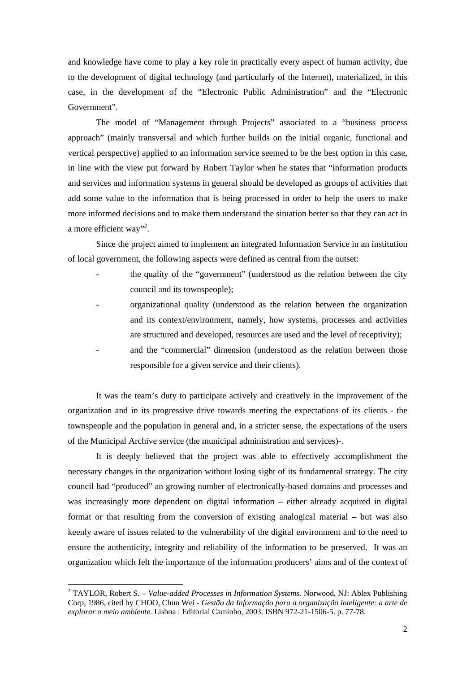and knowledge have come to play a key role in practically every aspect of human activity, due to the development of digital technology (and particularly of the Internet), materialized, in this case, in the development of the "Electronic Public Administration" and the "Electronic Government".

 The model of "Management through Projects" associated to a "business process approach" (mainly transversal and which further builds on the initial organic, functional and vertical perspective) applied to an information service seemed to be the best option in this case, in line with the view put forward by Robert Taylor when he states that "information products and services and information systems in general should be developed as groups of activities that add some value to the information that is being processed in order to help the users to make more informed decisions and to make them understand the situation better so that they can act in a more efficient way"<sup>2</sup>.

Since the project aimed to implement an integrated Information Service in an institution of local government, the following aspects were defined as central from the outset:

- the quality of the "government" (understood as the relation between the city council and its townspeople);
- organizational quality (understood as the relation between the organization and its context/environment, namely, how systems, processes and activities are structured and developed, resources are used and the level of receptivity); and the "commercial" dimension (understood as the relation between those responsible for a given service and their clients).

It was the team's duty to participate actively and creatively in the improvement of the organization and in its progressive drive towards meeting the expectations of its clients - the townspeople and the population in general and, in a stricter sense, the expectations of the users of the Municipal Archive service (the municipal administration and services)-.

 It is deeply believed that the project was able to effectively accomplishment the necessary changes in the organization without losing sight of its fundamental strategy. The city council had "produced" an growing number of electronically-based domains and processes and was increasingly more dependent on digital information – either already acquired in digital format or that resulting from the conversion of existing analogical material – but was also keenly aware of issues related to the vulnerability of the digital environment and to the need to ensure the authenticity, integrity and reliability of the information to be preserved. It was an organization which felt the importance of the information producers' aims and of the context of

<sup>&</sup>lt;sup>2</sup> TAYLOR, Robert S. – *Value-added Processes in Information Systems*. Norwood, NJ: Ablex Publishing Corp, 1986, cited by CHOO, Chun Wei *- Gestão da Informação para a organização inteligente: a arte de explorar o meio ambiente.* Lisboa : Editorial Caminho, 2003. ISBN 972-21-1506-5. p. 77-78.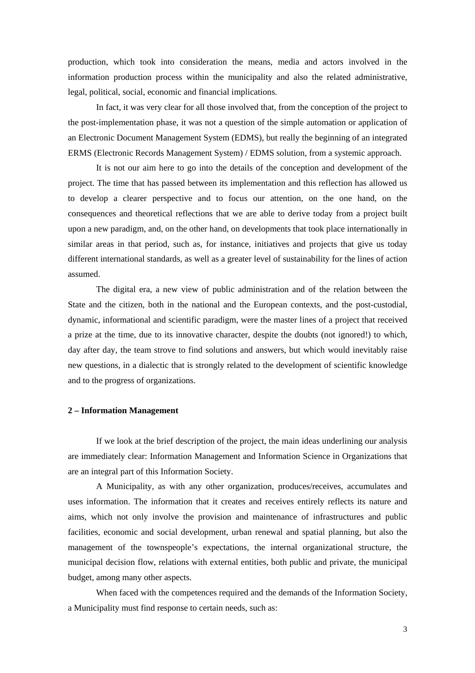production, which took into consideration the means, media and actors involved in the information production process within the municipality and also the related administrative, legal, political, social, economic and financial implications.

In fact, it was very clear for all those involved that, from the conception of the project to the post-implementation phase, it was not a question of the simple automation or application of an Electronic Document Management System (EDMS), but really the beginning of an integrated ERMS (Electronic Records Management System) / EDMS solution, from a systemic approach.

 It is not our aim here to go into the details of the conception and development of the project. The time that has passed between its implementation and this reflection has allowed us to develop a clearer perspective and to focus our attention, on the one hand, on the consequences and theoretical reflections that we are able to derive today from a project built upon a new paradigm, and, on the other hand, on developments that took place internationally in similar areas in that period, such as, for instance, initiatives and projects that give us today different international standards, as well as a greater level of sustainability for the lines of action assumed.

 The digital era, a new view of public administration and of the relation between the State and the citizen, both in the national and the European contexts, and the post-custodial, dynamic, informational and scientific paradigm, were the master lines of a project that received a prize at the time, due to its innovative character, despite the doubts (not ignored!) to which, day after day, the team strove to find solutions and answers, but which would inevitably raise new questions, in a dialectic that is strongly related to the development of scientific knowledge and to the progress of organizations.

#### **2 – Information Management**

 If we look at the brief description of the project, the main ideas underlining our analysis are immediately clear: Information Management and Information Science in Organizations that are an integral part of this Information Society.

 A Municipality, as with any other organization, produces/receives, accumulates and uses information. The information that it creates and receives entirely reflects its nature and aims, which not only involve the provision and maintenance of infrastructures and public facilities, economic and social development, urban renewal and spatial planning, but also the management of the townspeople's expectations, the internal organizational structure, the municipal decision flow, relations with external entities, both public and private, the municipal budget, among many other aspects.

When faced with the competences required and the demands of the Information Society, a Municipality must find response to certain needs, such as: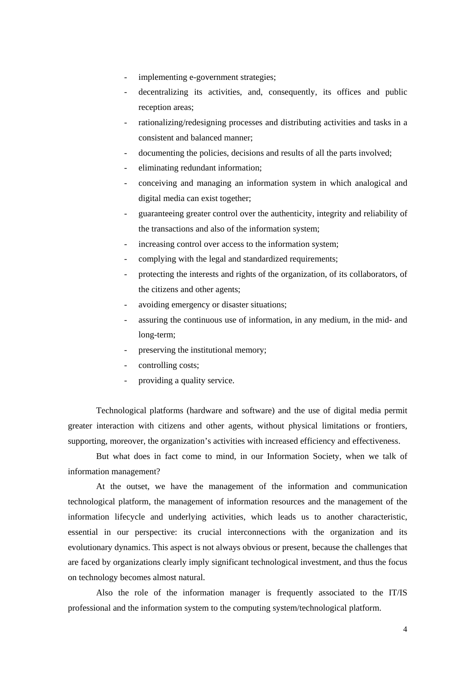- implementing e-government strategies;
- decentralizing its activities, and, consequently, its offices and public reception areas;
- rationalizing/redesigning processes and distributing activities and tasks in a consistent and balanced manner;
- documenting the policies, decisions and results of all the parts involved;
- eliminating redundant information;
- conceiving and managing an information system in which analogical and digital media can exist together;
- guaranteeing greater control over the authenticity, integrity and reliability of the transactions and also of the information system;
- increasing control over access to the information system;
- complying with the legal and standardized requirements;
- protecting the interests and rights of the organization, of its collaborators, of the citizens and other agents;
- avoiding emergency or disaster situations;
- assuring the continuous use of information, in any medium, in the mid- and long-term;
- preserving the institutional memory;
- controlling costs;
- providing a quality service.

Technological platforms (hardware and software) and the use of digital media permit greater interaction with citizens and other agents, without physical limitations or frontiers, supporting, moreover, the organization's activities with increased efficiency and effectiveness.

But what does in fact come to mind, in our Information Society, when we talk of information management?

At the outset, we have the management of the information and communication technological platform, the management of information resources and the management of the information lifecycle and underlying activities, which leads us to another characteristic, essential in our perspective: its crucial interconnections with the organization and its evolutionary dynamics. This aspect is not always obvious or present, because the challenges that are faced by organizations clearly imply significant technological investment, and thus the focus on technology becomes almost natural.

Also the role of the information manager is frequently associated to the IT/IS professional and the information system to the computing system/technological platform.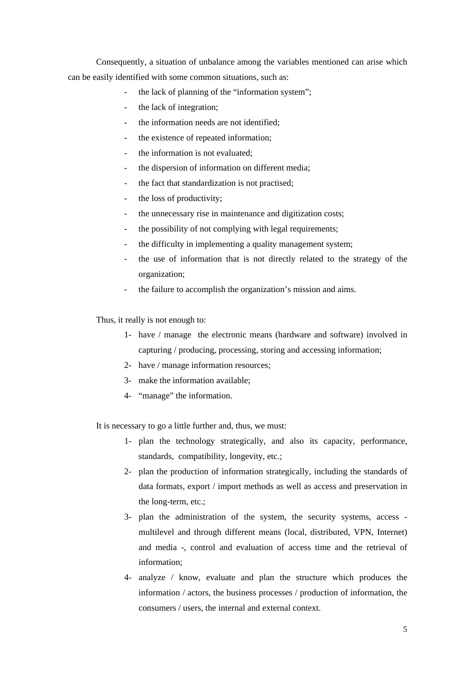Consequently, a situation of unbalance among the variables mentioned can arise which can be easily identified with some common situations, such as:

- the lack of planning of the "information system";
- the lack of integration;
- the information needs are not identified:
- the existence of repeated information;
- the information is not evaluated;
- the dispersion of information on different media;
- the fact that standardization is not practised;
- the loss of productivity;
- the unnecessary rise in maintenance and digitization costs;
- the possibility of not complying with legal requirements;
- the difficulty in implementing a quality management system;
- the use of information that is not directly related to the strategy of the organization;
- the failure to accomplish the organization's mission and aims.

Thus, it really is not enough to:

- 1- have / manage the electronic means (hardware and software) involved in capturing / producing, processing, storing and accessing information;
- 2- have / manage information resources;
- 3- make the information available;
- 4- "manage" the information.

It is necessary to go a little further and, thus, we must:

- 1- plan the technology strategically, and also its capacity, performance, standards, compatibility, longevity, etc.;
- 2- plan the production of information strategically, including the standards of data formats, export / import methods as well as access and preservation in the long-term, etc.;
- 3- plan the administration of the system, the security systems, access multilevel and through different means (local, distributed, VPN, Internet) and media -, control and evaluation of access time and the retrieval of information;
- 4- analyze / know, evaluate and plan the structure which produces the information / actors, the business processes / production of information, the consumers / users, the internal and external context.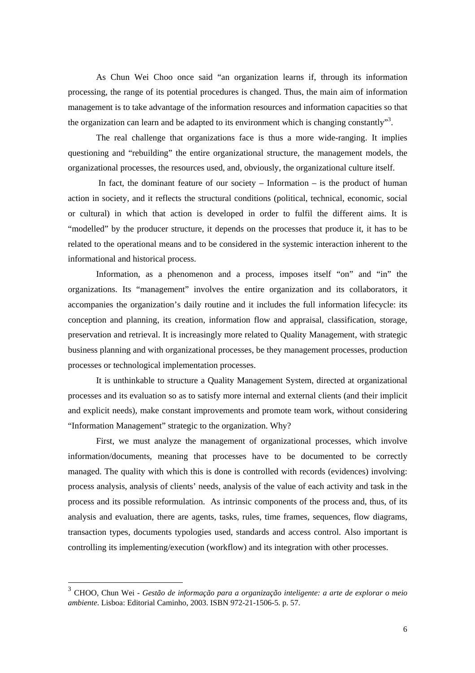As Chun Wei Choo once said "an organization learns if, through its information processing, the range of its potential procedures is changed. Thus, the main aim of information management is to take advantage of the information resources and information capacities so that the organization can learn and be adapted to its environment which is changing constantly"<sup>3</sup>.

The real challenge that organizations face is thus a more wide-ranging. It implies questioning and "rebuilding" the entire organizational structure, the management models, the organizational processes, the resources used, and, obviously, the organizational culture itself.

In fact, the dominant feature of our society – Information – is the product of human action in society, and it reflects the structural conditions (political, technical, economic, social or cultural) in which that action is developed in order to fulfil the different aims. It is "modelled" by the producer structure, it depends on the processes that produce it, it has to be related to the operational means and to be considered in the systemic interaction inherent to the informational and historical process.

Information, as a phenomenon and a process, imposes itself "on" and "in" the organizations. Its "management" involves the entire organization and its collaborators, it accompanies the organization's daily routine and it includes the full information lifecycle: its conception and planning, its creation, information flow and appraisal, classification, storage, preservation and retrieval. It is increasingly more related to Quality Management, with strategic business planning and with organizational processes, be they management processes, production processes or technological implementation processes.

It is unthinkable to structure a Quality Management System, directed at organizational processes and its evaluation so as to satisfy more internal and external clients (and their implicit and explicit needs), make constant improvements and promote team work, without considering "Information Management" strategic to the organization. Why?

First, we must analyze the management of organizational processes, which involve information/documents, meaning that processes have to be documented to be correctly managed. The quality with which this is done is controlled with records (evidences) involving: process analysis, analysis of clients' needs, analysis of the value of each activity and task in the process and its possible reformulation. As intrinsic components of the process and, thus, of its analysis and evaluation, there are agents, tasks, rules, time frames, sequences, flow diagrams, transaction types, documents typologies used, standards and access control. Also important is controlling its implementing/execution (workflow) and its integration with other processes.

<sup>3</sup> CHOO, Chun Wei - *Gestão de informação para a organização inteligente: a arte de explorar o meio ambiente*. Lisboa: Editorial Caminho, 2003. ISBN 972-21-1506-5. p. 57.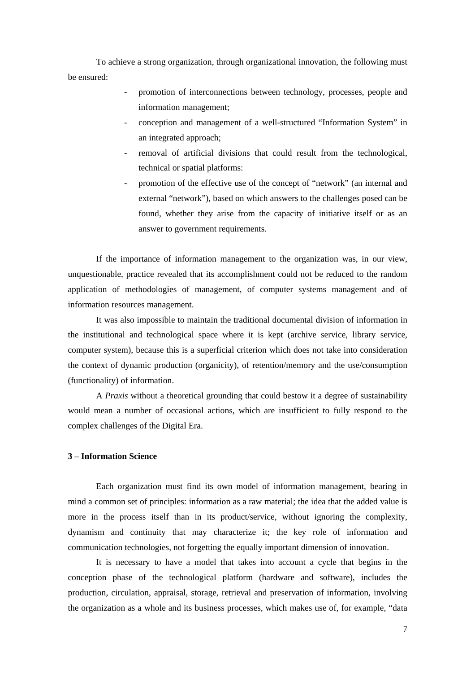To achieve a strong organization, through organizational innovation, the following must be ensured:

- promotion of interconnections between technology, processes, people and information management;
- conception and management of a well-structured "Information System" in an integrated approach;
- removal of artificial divisions that could result from the technological, technical or spatial platforms:
- promotion of the effective use of the concept of "network" (an internal and external "network"), based on which answers to the challenges posed can be found, whether they arise from the capacity of initiative itself or as an answer to government requirements.

If the importance of information management to the organization was, in our view, unquestionable, practice revealed that its accomplishment could not be reduced to the random application of methodologies of management, of computer systems management and of information resources management.

It was also impossible to maintain the traditional documental division of information in the institutional and technological space where it is kept (archive service, library service, computer system), because this is a superficial criterion which does not take into consideration the context of dynamic production (organicity), of retention/memory and the use/consumption (functionality) of information.

 A *Praxis* without a theoretical grounding that could bestow it a degree of sustainability would mean a number of occasional actions, which are insufficient to fully respond to the complex challenges of the Digital Era.

## **3 – Information Science**

 Each organization must find its own model of information management, bearing in mind a common set of principles: information as a raw material; the idea that the added value is more in the process itself than in its product/service, without ignoring the complexity, dynamism and continuity that may characterize it; the key role of information and communication technologies, not forgetting the equally important dimension of innovation.

 It is necessary to have a model that takes into account a cycle that begins in the conception phase of the technological platform (hardware and software), includes the production, circulation, appraisal, storage, retrieval and preservation of information, involving the organization as a whole and its business processes, which makes use of, for example, "data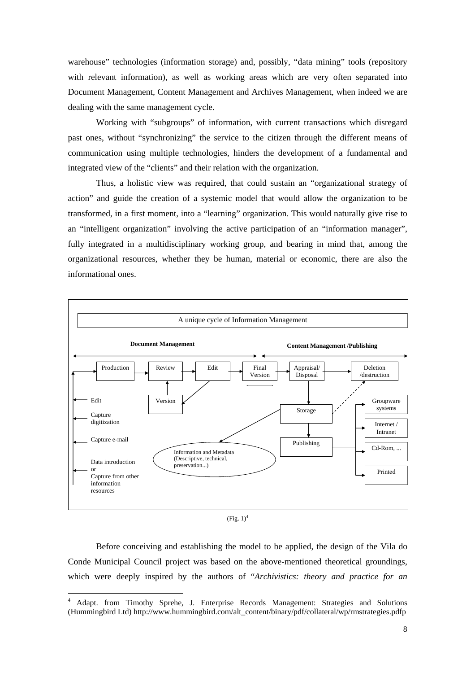warehouse" technologies (information storage) and, possibly, "data mining" tools (repository with relevant information), as well as working areas which are very often separated into Document Management, Content Management and Archives Management, when indeed we are dealing with the same management cycle.

Working with "subgroups" of information, with current transactions which disregard past ones, without "synchronizing" the service to the citizen through the different means of communication using multiple technologies, hinders the development of a fundamental and integrated view of the "clients" and their relation with the organization.

Thus, a holistic view was required, that could sustain an "organizational strategy of action" and guide the creation of a systemic model that would allow the organization to be transformed, in a first moment, into a "learning" organization. This would naturally give rise to an "intelligent organization" involving the active participation of an "information manager", fully integrated in a multidisciplinary working group, and bearing in mind that, among the organizational resources, whether they be human, material or economic, there are also the informational ones.



 $(Fig. 1)^4$ 

Before conceiving and establishing the model to be applied, the design of the Vila do Conde Municipal Council project was based on the above-mentioned theoretical groundings, which were deeply inspired by the authors of "*Archivistics: theory and practice for an* 

 $\overline{a}$ 4 Adapt. from Timothy Sprehe, J. Enterprise Records Management: Strategies and Solutions (Hummingbird Ltd) http://www.hummingbird.com/alt\_content/binary/pdf/collateral/wp/rmstrategies.pdfp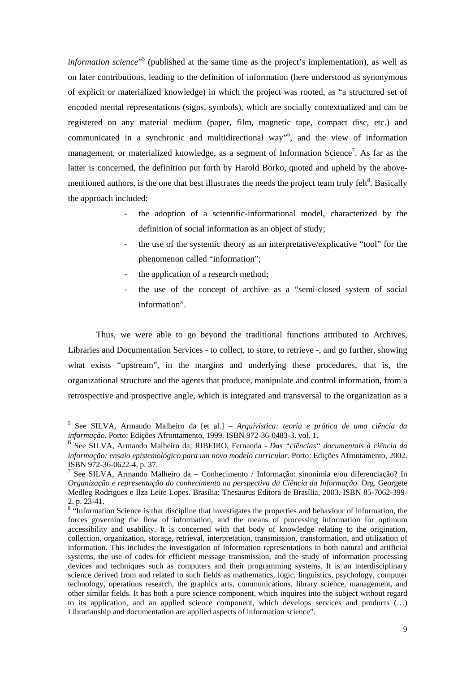*information science*" 5 (published at the same time as the project's implementation), as well as on later contributions, leading to the definition of information (here understood as synonymous of explicit or materialized knowledge) in which the project was rooted, as "a structured set of encoded mental representations (signs, symbols), which are socially contextualized and can be registered on any material medium (paper, film, magnetic tape, compact disc, etc.) and communicated in a synchronic and multidirectional way"<sup>6</sup> , and the view of information management, or materialized knowledge, as a segment of Information Science<sup>7</sup>. As far as the latter is concerned, the definition put forth by Harold Borko, quoted and upheld by the abovementioned authors, is the one that best illustrates the needs the project team truly felt $8$ . Basically the approach included:

- the adoption of a scientific-informational model, characterized by the definition of social information as an object of study:
- the use of the systemic theory as an interpretative/explicative "tool" for the phenomenon called "information";
- the application of a research method;
- the use of the concept of archive as a "semi-closed system of social information".

Thus, we were able to go beyond the traditional functions attributed to Archives, Libraries and Documentation Services - to collect, to store, to retrieve -, and go further, showing what exists "upstream", in the margins and underlying these procedures, that is, the organizational structure and the agents that produce, manipulate and control information, from a retrospective and prospective angle, which is integrated and transversal to the organization as a

 5 See SILVA, Armando Malheiro da [et al.] – *Arquivística: teoria e prática de uma ciência da informação.* Porto: Edições Afrontamento, 1999. ISBN 972-36-0483-3. vol. 1.

<sup>6</sup> See SILVA, Armando Malheiro da; RIBEIRO, Fernanda - *Das "ciências" documentais à ciência da informação: ensaio epistemológico para um novo modelo curricular*. Porto: Edições Afrontamento, 2002. ISBN 972-36-0622-4*,* p. 37.

<sup>7</sup> See SILVA, Armando Malheiro da – Conhecimento / Informação: sinonímia e/ou diferenciação? In *Organização e representação do conhecimento na perspectiva da Ciência da Informação*. Org. Georgete Medleg Rodrigues e Ilza Leite Lopes. Brasília: Thesaurus Editora de Brasília, 2003. ISBN 85-7062-399- 2. p. 23-41.

<sup>&</sup>lt;sup>8</sup> "Information Science is that discipline that investigates the properties and behaviour of information, the forces governing the flow of information, and the means of processing information for optimum accessibility and usability. It is concerned with that body of knowledge relating to the origination, collection, organization, storage, retrieval, interpretation, transmission, transformation, and utilization of information. This includes the investigation of information representations in both natural and artificial systems, the use of codes for efficient message transmission, and the study of information processing devices and techniques such as computers and their programming systems. It is an interdisciplinary science derived from and related to such fields as mathematics, logic, linguistics, psychology, computer technology, operations research, the graphics arts, communications, library science, management, and other similar fields. It has both a pure science component, which inquires into the subject without regard to its application, and an applied science component, which develops services and products (…) Librarianship and documentation are applied aspects of information science".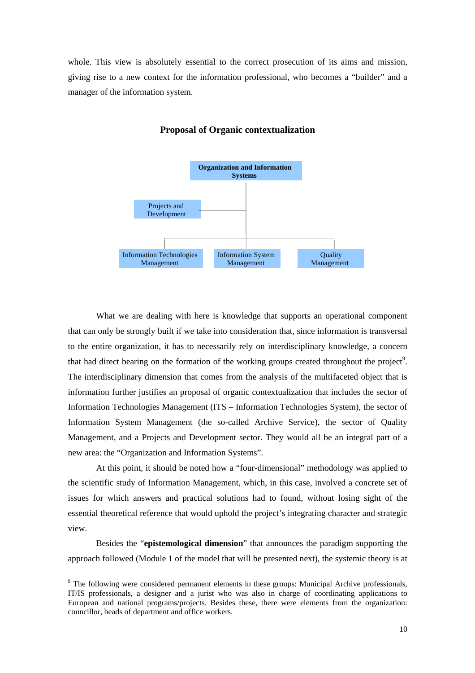whole. This view is absolutely essential to the correct prosecution of its aims and mission, giving rise to a new context for the information professional, who becomes a "builder" and a manager of the information system.



#### **Proposal of Organic contextualization**

What we are dealing with here is knowledge that supports an operational component that can only be strongly built if we take into consideration that, since information is transversal to the entire organization, it has to necessarily rely on interdisciplinary knowledge, a concern that had direct bearing on the formation of the working groups created throughout the project<sup>9</sup>. The interdisciplinary dimension that comes from the analysis of the multifaceted object that is information further justifies an proposal of organic contextualization that includes the sector of Information Technologies Management (ITS – Information Technologies System), the sector of Information System Management (the so-called Archive Service), the sector of Quality Management, and a Projects and Development sector. They would all be an integral part of a new area: the "Organization and Information Systems".

 At this point, it should be noted how a "four-dimensional" methodology was applied to the scientific study of Information Management, which, in this case, involved a concrete set of issues for which answers and practical solutions had to found, without losing sight of the essential theoretical reference that would uphold the project's integrating character and strategic view.

Besides the "**epistemological dimension**" that announces the paradigm supporting the approach followed (Module 1 of the model that will be presented next), the systemic theory is at

<sup>&</sup>lt;sup>9</sup> The following were considered permanent elements in these groups: Municipal Archive professionals, IT/IS professionals, a designer and a jurist who was also in charge of coordinating applications to European and national programs/projects. Besides these, there were elements from the organization: councillor, heads of department and office workers.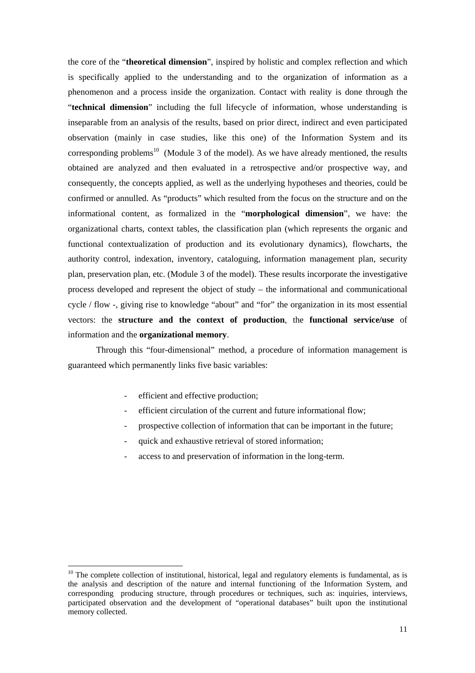the core of the "**theoretical dimension**", inspired by holistic and complex reflection and which is specifically applied to the understanding and to the organization of information as a phenomenon and a process inside the organization. Contact with reality is done through the "**technical dimension**" including the full lifecycle of information, whose understanding is inseparable from an analysis of the results, based on prior direct, indirect and even participated observation (mainly in case studies, like this one) of the Information System and its corresponding problems<sup>10</sup> (Module 3 of the model). As we have already mentioned, the results obtained are analyzed and then evaluated in a retrospective and/or prospective way, and consequently, the concepts applied, as well as the underlying hypotheses and theories, could be confirmed or annulled. As "products" which resulted from the focus on the structure and on the informational content, as formalized in the "**morphological dimension**", we have: the organizational charts, context tables, the classification plan (which represents the organic and functional contextualization of production and its evolutionary dynamics), flowcharts, the authority control, indexation, inventory, cataloguing, information management plan, security plan, preservation plan, etc. (Module 3 of the model). These results incorporate the investigative process developed and represent the object of study – the informational and communicational cycle / flow -, giving rise to knowledge "about" and "for" the organization in its most essential vectors: the **structure and the context of production**, the **functional service/use** of information and the **organizational memory**.

Through this "four-dimensional" method, a procedure of information management is guaranteed which permanently links five basic variables:

efficient and effective production;

- efficient circulation of the current and future informational flow;
- prospective collection of information that can be important in the future;
- quick and exhaustive retrieval of stored information;
- access to and preservation of information in the long-term.

<sup>&</sup>lt;sup>10</sup> The complete collection of institutional, historical, legal and regulatory elements is fundamental, as is the analysis and description of the nature and internal functioning of the Information System, and corresponding producing structure, through procedures or techniques, such as: inquiries, interviews, participated observation and the development of "operational databases" built upon the institutional memory collected.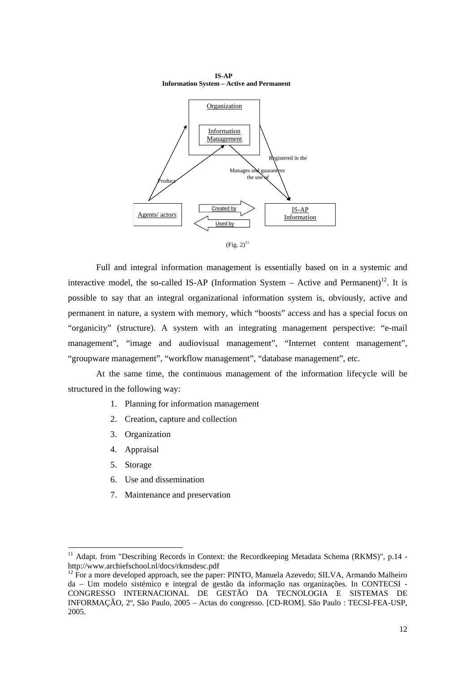

 **IS-AP Information System – Active and Permanent** 



Full and integral information management is essentially based on in a systemic and interactive model, the so-called IS-AP (Information System – Active and Permanent)<sup>12</sup>. It is possible to say that an integral organizational information system is, obviously, active and permanent in nature, a system with memory, which "boosts" access and has a special focus on "organicity" (structure). A system with an integrating management perspective: "e-mail management", "image and audiovisual management", "Internet content management", "groupware management", "workflow management", "database management", etc.

At the same time, the continuous management of the information lifecycle will be structured in the following way:

- 1. Planning for information management
- 2. Creation, capture and collection
- 3. Organization
- 4. Appraisal
- 5. Storage

- 6. Use and dissemination
- 7. Maintenance and preservation

<sup>&</sup>lt;sup>11</sup> Adapt. from "Describing Records in Context: the Recordkeeping Metadata Schema (RKMS)", p.14 http://www.archiefschool.nl/docs/rkmsdesc.pdf

 $12$  For a more developed approach, see the paper: PINTO, Manuela Azevedo; SILVA, Armando Malheiro da – Um modelo sistémico e integral de gestão da informação nas organizações. In CONTECSI - CONGRESSO INTERNACIONAL DE GESTÃO DA TECNOLOGIA E SISTEMAS DE INFORMAÇÃO, 2º, São Paulo, 2005 – Actas do congresso. [CD-ROM]. São Paulo : TECSI-FEA-USP, 2005.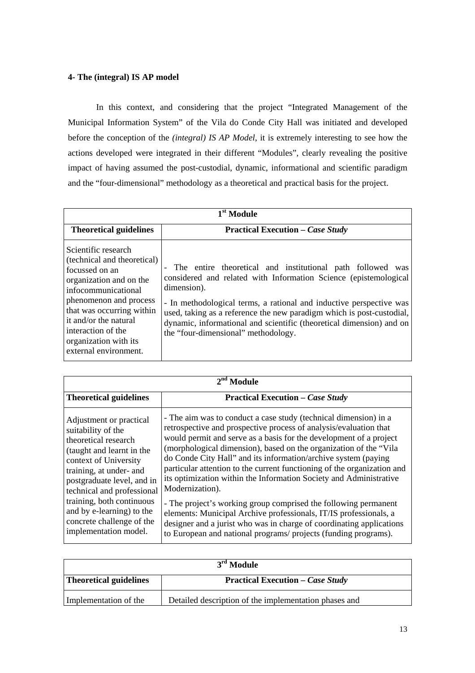## **4- The (integral) IS AP model**

 In this context, and considering that the project "Integrated Management of the Municipal Information System" of the Vila do Conde City Hall was initiated and developed before the conception of the *(integral) IS AP Model*, it is extremely interesting to see how the actions developed were integrated in their different "Modules", clearly revealing the positive impact of having assumed the post-custodial, dynamic, informational and scientific paradigm and the "four-dimensional" methodology as a theoretical and practical basis for the project.

| 1 <sup>st</sup> Module                                                                                                                                                                                                                                                         |                                                                                                                                                                                                                                                                                                                                                                                                              |  |  |  |
|--------------------------------------------------------------------------------------------------------------------------------------------------------------------------------------------------------------------------------------------------------------------------------|--------------------------------------------------------------------------------------------------------------------------------------------------------------------------------------------------------------------------------------------------------------------------------------------------------------------------------------------------------------------------------------------------------------|--|--|--|
| <b>Theoretical guidelines</b>                                                                                                                                                                                                                                                  | <b>Practical Execution – Case Study</b>                                                                                                                                                                                                                                                                                                                                                                      |  |  |  |
| Scientific research<br>(technical and theoretical)<br>focussed on an<br>organization and on the<br>infocommunicational<br>phenomenon and process<br>that was occurring within<br>it and/or the natural<br>interaction of the<br>organization with its<br>external environment. | The entire theoretical and institutional path followed was<br>considered and related with Information Science (epistemological<br>dimension).<br>- In methodological terms, a rational and inductive perspective was<br>used, taking as a reference the new paradigm which is post-custodial,<br>dynamic, informational and scientific (theoretical dimension) and on<br>the "four-dimensional" methodology. |  |  |  |

| $2nd$ Module                                                                                                                                                                                                                                                                                                                       |                                                                                                                                                                                                                                                                                                                                                                                                                                                                                                                                                                                                                                                                                                                                                                                                           |  |  |  |
|------------------------------------------------------------------------------------------------------------------------------------------------------------------------------------------------------------------------------------------------------------------------------------------------------------------------------------|-----------------------------------------------------------------------------------------------------------------------------------------------------------------------------------------------------------------------------------------------------------------------------------------------------------------------------------------------------------------------------------------------------------------------------------------------------------------------------------------------------------------------------------------------------------------------------------------------------------------------------------------------------------------------------------------------------------------------------------------------------------------------------------------------------------|--|--|--|
| <b>Theoretical guidelines</b>                                                                                                                                                                                                                                                                                                      | <b>Practical Execution – Case Study</b>                                                                                                                                                                                                                                                                                                                                                                                                                                                                                                                                                                                                                                                                                                                                                                   |  |  |  |
| Adjustment or practical<br>suitability of the<br>theoretical research<br>(taught and learnt in the<br>context of University<br>training, at under- and<br>postgraduate level, and in<br>technical and professional<br>training, both continuous<br>and by e-learning) to the<br>concrete challenge of the<br>implementation model. | - The aim was to conduct a case study (technical dimension) in a<br>retrospective and prospective process of analysis/evaluation that<br>would permit and serve as a basis for the development of a project<br>(morphological dimension), based on the organization of the "Vila<br>do Conde City Hall" and its information/archive system (paying<br>particular attention to the current functioning of the organization and<br>its optimization within the Information Society and Administrative<br>Modernization).<br>- The project's working group comprised the following permanent<br>elements: Municipal Archive professionals, IT/IS professionals, a<br>designer and a jurist who was in charge of coordinating applications<br>to European and national programs/ projects (funding programs). |  |  |  |

| $3rd$ Module                  |                                                       |  |
|-------------------------------|-------------------------------------------------------|--|
| <b>Theoretical guidelines</b> | <b>Practical Execution – Case Study</b>               |  |
| Implementation of the         | Detailed description of the implementation phases and |  |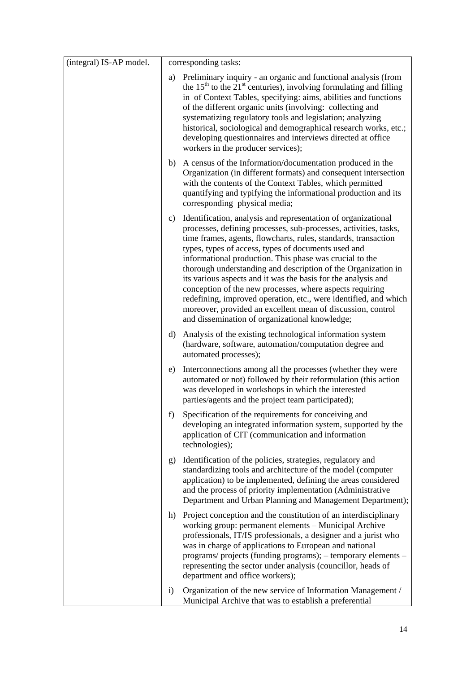| (integral) IS-AP model. |              | corresponding tasks:                                                                                                                                                                                                                                                                                                                                                                                                                                                                                                                                                                                                                                                                                     |
|-------------------------|--------------|----------------------------------------------------------------------------------------------------------------------------------------------------------------------------------------------------------------------------------------------------------------------------------------------------------------------------------------------------------------------------------------------------------------------------------------------------------------------------------------------------------------------------------------------------------------------------------------------------------------------------------------------------------------------------------------------------------|
|                         | a)           | Preliminary inquiry - an organic and functional analysis (from<br>the 15 <sup>th</sup> to the 21 <sup>st</sup> centuries), involving formulating and filling<br>in of Context Tables, specifying: aims, abilities and functions<br>of the different organic units (involving: collecting and<br>systematizing regulatory tools and legislation; analyzing<br>historical, sociological and demographical research works, etc.;<br>developing questionnaires and interviews directed at office<br>workers in the producer services);                                                                                                                                                                       |
|                         | b)           | A census of the Information/documentation produced in the<br>Organization (in different formats) and consequent intersection<br>with the contents of the Context Tables, which permitted<br>quantifying and typifying the informational production and its<br>corresponding physical media;                                                                                                                                                                                                                                                                                                                                                                                                              |
|                         | c)           | Identification, analysis and representation of organizational<br>processes, defining processes, sub-processes, activities, tasks,<br>time frames, agents, flowcharts, rules, standards, transaction<br>types, types of access, types of documents used and<br>informational production. This phase was crucial to the<br>thorough understanding and description of the Organization in<br>its various aspects and it was the basis for the analysis and<br>conception of the new processes, where aspects requiring<br>redefining, improved operation, etc., were identified, and which<br>moreover, provided an excellent mean of discussion, control<br>and dissemination of organizational knowledge; |
|                         | $\mathbf{d}$ | Analysis of the existing technological information system<br>(hardware, software, automation/computation degree and<br>automated processes);                                                                                                                                                                                                                                                                                                                                                                                                                                                                                                                                                             |
|                         | e)           | Interconnections among all the processes (whether they were<br>automated or not) followed by their reformulation (this action<br>was developed in workshops in which the interested<br>parties/agents and the project team participated);                                                                                                                                                                                                                                                                                                                                                                                                                                                                |
|                         |              | f) Specification of the requirements for conceiving and<br>developing an integrated information system, supported by the<br>application of CIT (communication and information<br>technologies);                                                                                                                                                                                                                                                                                                                                                                                                                                                                                                          |
|                         |              | g) Identification of the policies, strategies, regulatory and<br>standardizing tools and architecture of the model (computer<br>application) to be implemented, defining the areas considered<br>and the process of priority implementation (Administrative<br>Department and Urban Planning and Management Department);                                                                                                                                                                                                                                                                                                                                                                                 |
|                         | h)           | Project conception and the constitution of an interdisciplinary<br>working group: permanent elements - Municipal Archive<br>professionals, IT/IS professionals, a designer and a jurist who<br>was in charge of applications to European and national<br>programs/ projects (funding programs); - temporary elements -<br>representing the sector under analysis (councillor, heads of<br>department and office workers);                                                                                                                                                                                                                                                                                |
|                         | $\mathbf{i}$ | Organization of the new service of Information Management /<br>Municipal Archive that was to establish a preferential                                                                                                                                                                                                                                                                                                                                                                                                                                                                                                                                                                                    |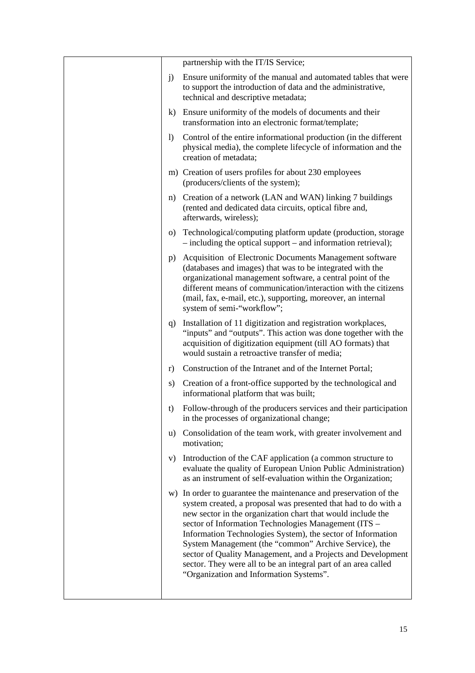|              | partnership with the IT/IS Service;                                                                                                                                                                                                                                                                                                                                                                                                                                                                                                                            |
|--------------|----------------------------------------------------------------------------------------------------------------------------------------------------------------------------------------------------------------------------------------------------------------------------------------------------------------------------------------------------------------------------------------------------------------------------------------------------------------------------------------------------------------------------------------------------------------|
| $\mathbf{j}$ | Ensure uniformity of the manual and automated tables that were<br>to support the introduction of data and the administrative,<br>technical and descriptive metadata;                                                                                                                                                                                                                                                                                                                                                                                           |
|              | k) Ensure uniformity of the models of documents and their<br>transformation into an electronic format/template;                                                                                                                                                                                                                                                                                                                                                                                                                                                |
| $\bf{D}$     | Control of the entire informational production (in the different<br>physical media), the complete lifecycle of information and the<br>creation of metadata;                                                                                                                                                                                                                                                                                                                                                                                                    |
|              | m) Creation of users profiles for about 230 employees<br>(producers/clients of the system);                                                                                                                                                                                                                                                                                                                                                                                                                                                                    |
|              | n) Creation of a network (LAN and WAN) linking 7 buildings<br>(rented and dedicated data circuits, optical fibre and,<br>afterwards, wireless);                                                                                                                                                                                                                                                                                                                                                                                                                |
| $\Omega$     | Technological/computing platform update (production, storage<br>- including the optical support – and information retrieval);                                                                                                                                                                                                                                                                                                                                                                                                                                  |
| $p$ )        | Acquisition of Electronic Documents Management software<br>(databases and images) that was to be integrated with the<br>organizational management software, a central point of the<br>different means of communication/interaction with the citizens<br>(mail, fax, e-mail, etc.), supporting, moreover, an internal<br>system of semi-"workflow";                                                                                                                                                                                                             |
|              | q) Installation of 11 digitization and registration workplaces,<br>"inputs" and "outputs". This action was done together with the<br>acquisition of digitization equipment (till AO formats) that<br>would sustain a retroactive transfer of media;                                                                                                                                                                                                                                                                                                            |
| r)           | Construction of the Intranet and of the Internet Portal;                                                                                                                                                                                                                                                                                                                                                                                                                                                                                                       |
| s)           | Creation of a front-office supported by the technological and<br>informational platform that was built;                                                                                                                                                                                                                                                                                                                                                                                                                                                        |
| t)           | Follow-through of the producers services and their participation<br>in the processes of organizational change;                                                                                                                                                                                                                                                                                                                                                                                                                                                 |
| u)           | Consolidation of the team work, with greater involvement and<br>motivation;                                                                                                                                                                                                                                                                                                                                                                                                                                                                                    |
| V)           | Introduction of the CAF application (a common structure to<br>evaluate the quality of European Union Public Administration)<br>as an instrument of self-evaluation within the Organization;                                                                                                                                                                                                                                                                                                                                                                    |
|              | w) In order to guarantee the maintenance and preservation of the<br>system created, a proposal was presented that had to do with a<br>new sector in the organization chart that would include the<br>sector of Information Technologies Management (ITS -<br>Information Technologies System), the sector of Information<br>System Management (the "common" Archive Service), the<br>sector of Quality Management, and a Projects and Development<br>sector. They were all to be an integral part of an area called<br>"Organization and Information Systems". |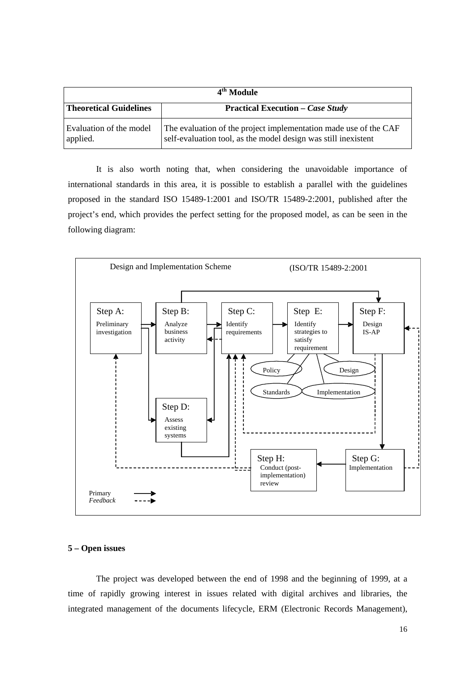| 4 <sup>th</sup> Module              |                                                                                                                                    |  |  |
|-------------------------------------|------------------------------------------------------------------------------------------------------------------------------------|--|--|
| <b>Theoretical Guidelines</b>       | <b>Practical Execution – Case Study</b>                                                                                            |  |  |
| Evaluation of the model<br>applied. | The evaluation of the project implementation made use of the CAF<br>self-evaluation tool, as the model design was still inexistent |  |  |

It is also worth noting that, when considering the unavoidable importance of international standards in this area, it is possible to establish a parallel with the guidelines proposed in the standard ISO 15489-1:2001 and ISO/TR 15489-2:2001, published after the project's end, which provides the perfect setting for the proposed model, as can be seen in the following diagram:



#### **5 – Open issues**

The project was developed between the end of 1998 and the beginning of 1999, at a time of rapidly growing interest in issues related with digital archives and libraries, the integrated management of the documents lifecycle, ERM (Electronic Records Management),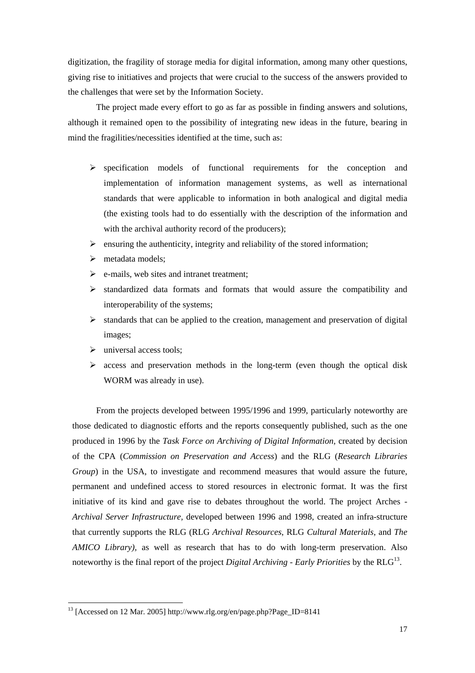digitization, the fragility of storage media for digital information, among many other questions, giving rise to initiatives and projects that were crucial to the success of the answers provided to the challenges that were set by the Information Society.

The project made every effort to go as far as possible in finding answers and solutions, although it remained open to the possibility of integrating new ideas in the future, bearing in mind the fragilities/necessities identified at the time, such as:

- $\triangleright$  specification models of functional requirements for the conception and implementation of information management systems, as well as international standards that were applicable to information in both analogical and digital media (the existing tools had to do essentially with the description of the information and with the archival authority record of the producers);
- $\triangleright$  ensuring the authenticity, integrity and reliability of the stored information;
- $\triangleright$  metadata models:
- $\triangleright$  e-mails, web sites and intranet treatment;
- $\triangleright$  standardized data formats and formats that would assure the compatibility and interoperability of the systems;
- $\triangleright$  standards that can be applied to the creation, management and preservation of digital images;
- $\triangleright$  universal access tools;

 $\overline{a}$ 

 $\triangleright$  access and preservation methods in the long-term (even though the optical disk WORM was already in use).

From the projects developed between 1995/1996 and 1999, particularly noteworthy are those dedicated to diagnostic efforts and the reports consequently published, such as the one produced in 1996 by the *Task Force on Archiving of Digital Information,* created by decision of the CPA (*Commission on Preservation and Access*) and the RLG (*Research Libraries Group*) in the USA, to investigate and recommend measures that would assure the future, permanent and undefined access to stored resources in electronic format. It was the first initiative of its kind and gave rise to debates throughout the world. The project Arches - *Archival Server Infrastructure,* developed between 1996 and 1998, created an infra-structure that currently supports the RLG (RLG *Archival Resources*, RLG *Cultural Materials*, and *The AMICO Library),* as well as research that has to do with long-term preservation. Also noteworthy is the final report of the project *Digital Archiving - Early Priorities* by the RLG<sup>13</sup>.

<sup>13</sup> [Accessed on 12 Mar. 2005] http://www.rlg.org/en/page.php?Page\_ID=8141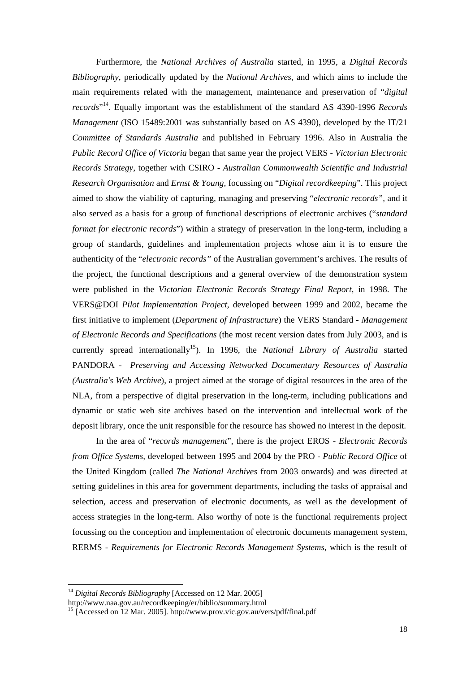Furthermore, the *National Archives of Australia* started, in 1995, a *Digital Records Bibliography*, periodically updated by the *National Archives,* and which aims to include the main requirements related with the management, maintenance and preservation of "*digital records*" <sup>14</sup>. Equally important was the establishment of the standard AS 4390-1996 *Records Management* (ISO 15489:2001 was substantially based on AS 4390), developed by the IT/21 *Committee of Standards Australia* and published in February 1996. Also in Australia the *Public Record Office of Victoria* began that same year the project VERS - *Victorian Electronic Records Strategy*, together with CSIRO - *Australian Commonwealth Scientific and Industrial Research Organisation* and *Ernst & Young,* focussing on "*Digital recordkeeping*". This project aimed to show the viability of capturing, managing and preserving "*electronic records",* and it also served as a basis for a group of functional descriptions of electronic archives ("*standard format for electronic records*") within a strategy of preservation in the long-term, including a group of standards, guidelines and implementation projects whose aim it is to ensure the authenticity of the "*electronic records"* of the Australian government's archives. The results of the project, the functional descriptions and a general overview of the demonstration system were published in the *Victorian Electronic Records Strategy Final Report,* in 1998. The VERS@DOI *Pilot Implementation Project*, developed between 1999 and 2002, became the first initiative to implement (*Department of Infrastructure*) the VERS Standard *- Management of Electronic Records and Specifications* (the most recent version dates from July 2003, and is currently spread internationally<sup>15</sup>). In 1996, the *National Library of Australia* started PANDORA - *Preserving and Accessing Networked Documentary Resources of Australia (Australia's Web Archive*), a project aimed at the storage of digital resources in the area of the NLA, from a perspective of digital preservation in the long-term, including publications and dynamic or static web site archives based on the intervention and intellectual work of the deposit library, once the unit responsible for the resource has showed no interest in the deposit.

In the area of "*records management*", there is the project EROS - *Electronic Records from Office Systems,* developed between 1995 and 2004 by the PRO - *Public Record Office* of the United Kingdom (called *The National Archives* from 2003 onwards) and was directed at setting guidelines in this area for government departments, including the tasks of appraisal and selection, access and preservation of electronic documents, as well as the development of access strategies in the long-term. Also worthy of note is the functional requirements project focussing on the conception and implementation of electronic documents management system, RERMS - *Requirements for Electronic Records Management Systems*, which is the result of

<sup>&</sup>lt;sup>14</sup> Digital Records Bibliography [Accessed on 12 Mar. 2005]

http://www.naa.gov.au/recordkeeping/er/biblio/summary.html

<sup>&</sup>lt;sup>15</sup> [Accessed on 12 Mar. 2005]. http://www.prov.vic.gov.au/vers/pdf/final.pdf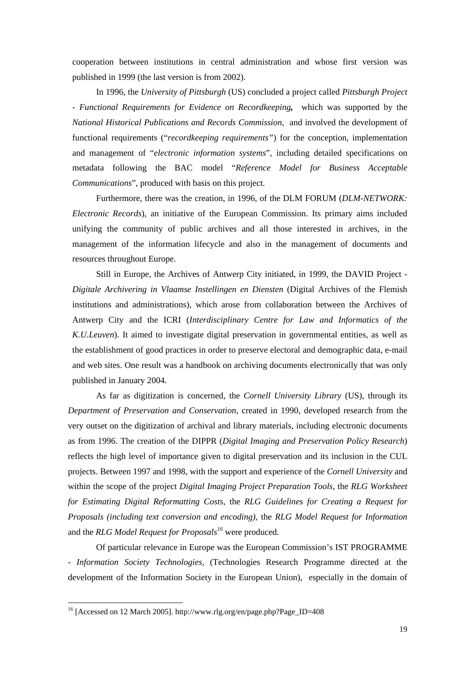cooperation between institutions in central administration and whose first version was published in 1999 (the last version is from 2002).

In 1996, the *University of Pittsburgh* (US) concluded a project called *Pittsburgh Project - Functional Requirements for Evidence on Recordkeeping,* which was supported by the *National Historical Publications and Records Commission*, and involved the development of functional requirements ("*recordkeeping requirements"*) for the conception, implementation and management of "*electronic information systems*", including detailed specifications on metadata following the BAC model "*Reference Model for Business Acceptable Communications*", produced with basis on this project.

Furthermore, there was the creation, in 1996, of the DLM FORUM (*DLM-NETWORK: Electronic Records*), an initiative of the European Commission. Its primary aims included unifying the community of public archives and all those interested in archives, in the management of the information lifecycle and also in the management of documents and resources throughout Europe.

Still in Europe, the Archives of Antwerp City initiated, in 1999, the DAVID Project - *Digitale Archivering in Vlaamse Instellingen en Diensten* (Digital Archives of the Flemish institutions and administrations), which arose from collaboration between the Archives of Antwerp City and the ICRI (*Interdisciplinary Centre for Law and Informatics of the K.U.Leuven*). It aimed to investigate digital preservation in governmental entities, as well as the establishment of good practices in order to preserve electoral and demographic data, e-mail and web sites. One result was a handbook on archiving documents electronically that was only published in January 2004.

As far as digitization is concerned, the *Cornell University Library* (US), through its *Department of Preservation and Conservation*, created in 1990, developed research from the very outset on the digitization of archival and library materials, including electronic documents as from 1996. The creation of the DIPPR (*Digital Imaging and Preservation Policy Research*) reflects the high level of importance given to digital preservation and its inclusion in the CUL projects. Between 1997 and 1998, with the support and experience of the *Cornell University* and within the scope of the project *Digital Imaging Project Preparation Tools,* the *RLG Worksheet for Estimating Digital Reformatting Costs*, the *RLG Guidelines for Creating a Request for Proposals (including text conversion and encoding),* the *RLG Model Request for Information*  and the *RLG Model Request for Proposals<sup>16</sup>* were produced*.* 

Of particular relevance in Europe was the European Commission's IST PROGRAMME - *Information Society Technologies,* (Technologies Research Programme directed at the development of the Information Society in the European Union), especially in the domain of

<sup>16</sup> [Accessed on 12 March 2005]. http://www.rlg.org/en/page.php?Page\_ID=408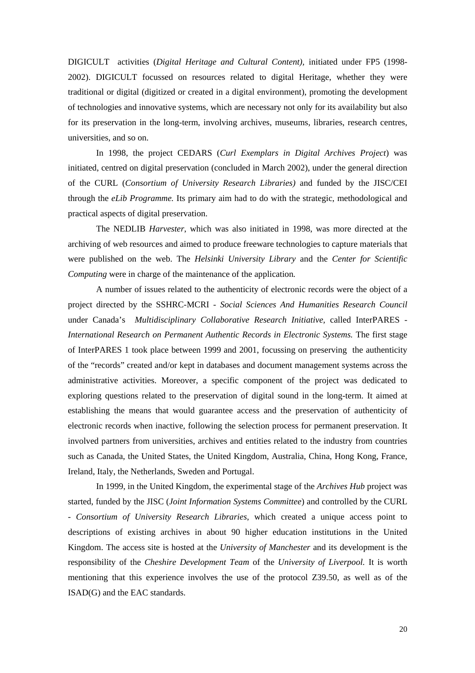DIGICULT activities (*Digital Heritage and Cultural Content),* initiated under FP5 (1998- 2002). DIGICULT focussed on resources related to digital Heritage, whether they were traditional or digital (digitized or created in a digital environment), promoting the development of technologies and innovative systems, which are necessary not only for its availability but also for its preservation in the long-term, involving archives, museums, libraries, research centres, universities, and so on.

In 1998, the project CEDARS (*Curl Exemplars in Digital Archives Project*) was initiated, centred on digital preservation (concluded in March 2002), under the general direction of the CURL (*Consortium of University Research Libraries)* and funded by the JISC/CEI through the *eLib Programme.* Its primary aim had to do with the strategic, methodological and practical aspects of digital preservation.

The NEDLIB *Harvester*, which was also initiated in 1998, was more directed at the archiving of web resources and aimed to produce freeware technologies to capture materials that were published on the web. The *Helsinki University Library* and the *Center for Scientific Computing* were in charge of the maintenance of the application*.*

A number of issues related to the authenticity of electronic records were the object of a project directed by the SSHRC-MCRI - *Social Sciences And Humanities Research Council*  under Canada's *Multidisciplinary Collaborative Research Initiative,* called InterPARES - *International Research on Permanent Authentic Records in Electronic Systems.* The first stage of InterPARES 1 took place between 1999 and 2001, focussing on preserving the authenticity of the "records" created and/or kept in databases and document management systems across the administrative activities. Moreover, a specific component of the project was dedicated to exploring questions related to the preservation of digital sound in the long-term. It aimed at establishing the means that would guarantee access and the preservation of authenticity of electronic records when inactive, following the selection process for permanent preservation. It involved partners from universities, archives and entities related to the industry from countries such as Canada, the United States, the United Kingdom, Australia, China, Hong Kong, France, Ireland, Italy, the Netherlands, Sweden and Portugal.

In 1999, in the United Kingdom, the experimental stage of the *Archives Hub* project was started, funded by the JISC (*Joint Information Systems Committee*) and controlled by the CURL - *Consortium of University Research Libraries*, which created a unique access point to descriptions of existing archives in about 90 higher education institutions in the United Kingdom. The access site is hosted at the *University of Manchester* and its development is the responsibility of the *Cheshire Development Team* of the *University of Liverpool.* It is worth mentioning that this experience involves the use of the protocol Z39.50, as well as of the ISAD(G) and the EAC standards.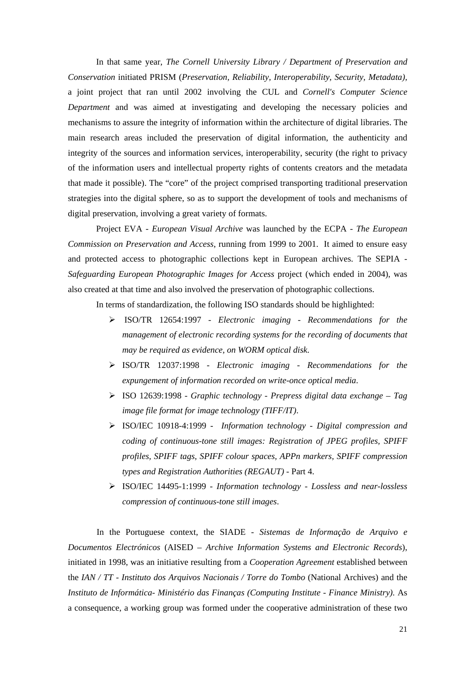In that same year, *The Cornell University Library / Department of Preservation and Conservation* initiated PRISM (*Preservation, Reliability, Interoperability, Security, Metadata),* a joint project that ran until 2002 involving the CUL and *Cornell's Computer Science Department* and was aimed at investigating and developing the necessary policies and mechanisms to assure the integrity of information within the architecture of digital libraries. The main research areas included the preservation of digital information, the authenticity and integrity of the sources and information services, interoperability, security (the right to privacy of the information users and intellectual property rights of contents creators and the metadata that made it possible). The "core" of the project comprised transporting traditional preservation strategies into the digital sphere, so as to support the development of tools and mechanisms of digital preservation, involving a great variety of formats.

Project EVA *- European Visual Archive* was launched by the ECPA - *The European Commission on Preservation and Access*, running from 1999 to 2001. It aimed to ensure easy and protected access to photographic collections kept in European archives. The SEPIA - *Safeguarding European Photographic Images for Access* project (which ended in 2004), was also created at that time and also involved the preservation of photographic collections.

In terms of standardization, the following ISO standards should be highlighted:

- ISO/TR 12654:1997 *Electronic imaging Recommendations for the management of electronic recording systems for the recording of documents that may be required as evidence, on WORM optical disk*.
- ISO/TR 12037:1998 *Electronic imaging Recommendations for the expungement of information recorded on write-once optical media*.
- ISO 12639:1998 *Graphic technology Prepress digital data exchange Tag image file format for image technology (TIFF/IT)*.
- ISO/IEC 10918-4:1999 *Information technology Digital compression and coding of continuous-tone still images: Registration of JPEG profiles, SPIFF profiles, SPIFF tags, SPIFF colour spaces, APPn markers, SPIFF compression types and Registration Authorities (REGAUT)* - Part 4.
- ISO/IEC 14495-1:1999 *Information technology Lossless and near-lossless compression of continuous-tone still images*.

In the Portuguese context, the SIADE - *Sistemas de Informação de Arquivo e Documentos Electrónicos* (AISED – *Archive Information Systems and Electronic Records*), initiated in 1998, was an initiative resulting from a *Cooperation Agreement* established between the *IAN / TT* - *Instituto dos Arquivos Nacionais / Torre do Tombo* (National Archives) and the *Instituto de Informática- Ministério das Finanças (Computing Institute - Finance Ministry).* As a consequence, a working group was formed under the cooperative administration of these two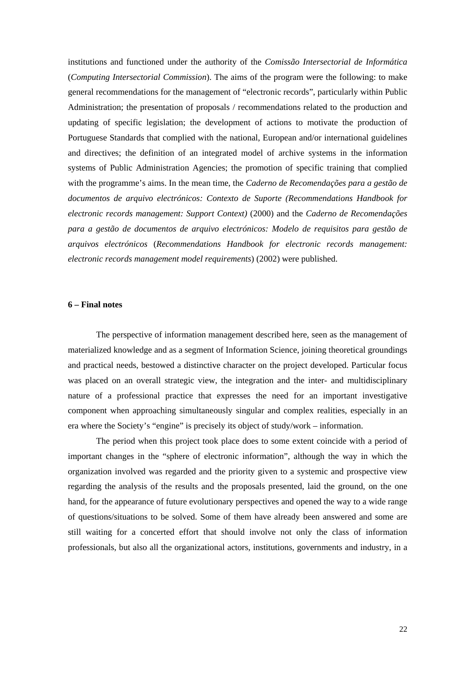institutions and functioned under the authority of the *Comissão Intersectorial de Informática* (*Computing Intersectorial Commission*). The aims of the program were the following: to make general recommendations for the management of "electronic records", particularly within Public Administration; the presentation of proposals / recommendations related to the production and updating of specific legislation; the development of actions to motivate the production of Portuguese Standards that complied with the national, European and/or international guidelines and directives; the definition of an integrated model of archive systems in the information systems of Public Administration Agencies; the promotion of specific training that complied with the programme's aims. In the mean time, the *Caderno de Recomendações para a gestão de documentos de arquivo electrónicos: Contexto de Suporte (Recommendations Handbook for electronic records management: Support Context)* (2000) and the *Caderno de Recomendações para a gestão de documentos de arquivo electrónicos: Modelo de requisitos para gestão de arquivos electrónicos* (*Recommendations Handbook for electronic records management: electronic records management model requirements*) (2002) were published.

#### **6 – Final notes**

The perspective of information management described here, seen as the management of materialized knowledge and as a segment of Information Science, joining theoretical groundings and practical needs, bestowed a distinctive character on the project developed. Particular focus was placed on an overall strategic view, the integration and the inter- and multidisciplinary nature of a professional practice that expresses the need for an important investigative component when approaching simultaneously singular and complex realities, especially in an era where the Society's "engine" is precisely its object of study/work – information.

The period when this project took place does to some extent coincide with a period of important changes in the "sphere of electronic information", although the way in which the organization involved was regarded and the priority given to a systemic and prospective view regarding the analysis of the results and the proposals presented, laid the ground, on the one hand, for the appearance of future evolutionary perspectives and opened the way to a wide range of questions/situations to be solved. Some of them have already been answered and some are still waiting for a concerted effort that should involve not only the class of information professionals, but also all the organizational actors, institutions, governments and industry, in a